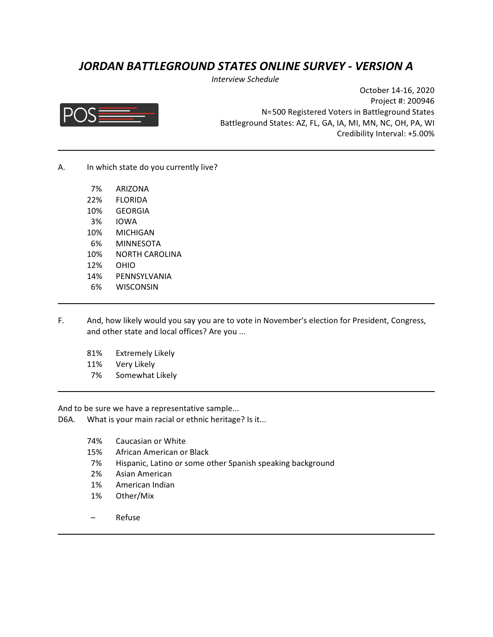## *JORDAN BATTLEGROUND STATES ONLINE SURVEY - VERSION A*

*Interview Schedule* 



October 14-16, 2020 Project #: 200946 N=500 Registered Voters in Battleground States Battleground States: AZ, FL, GA, IA, MI, MN, NC, OH, PA, WI Credibility Interval: +5.00%

A. In which state do you currently live?

| 7%  | <b>ARIZONA</b> |
|-----|----------------|
| 22% | FLORIDA        |
| 10% | GEORGIA        |
| 3%  | IOWA           |
| 10% | MICHIGAN       |
| 6%  | MINNESOTA      |
| 10% | NORTH CAROLINA |
| 12% | OHIO           |
| 14% | PENNSYLVANIA   |
| 6%  | WISCONSIN      |

- F. And, how likely would you say you are to vote in November's election for President, Congress, and other state and local offices? Are you ...
	- 81% Extremely Likely
	- 11% Very Likely
	- 7% Somewhat Likely

And to be sure we have a representative sample...

- D6A. What is your main racial or ethnic heritage? Is it...
	- 74% Caucasian or White
	- 15% African American or Black
	- 7% Hispanic, Latino or some other Spanish speaking background
	- 2% Asian American
	- 1% American Indian
	- 1% Other/Mix
	- Refuse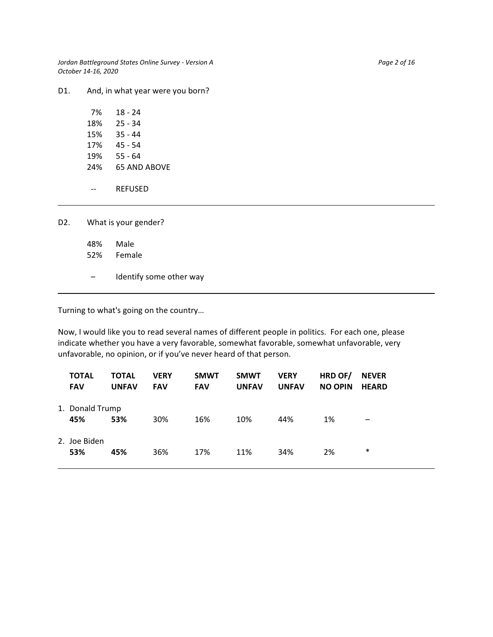*Jordan Battleground States Online Survey - Version A* Page 2 of 16 Page 2 of 16 *October 14-16, 2020*

D1. And, in what year were you born?

| 7%  | 18 - 24      |
|-----|--------------|
| 18% | 25 - 34      |
| 15% | $35 - 44$    |
| 17% | 45 - 54      |
| 19% | 55 - 64      |
| 24% | 65 AND AROVF |
|     |              |
|     | REFUSED      |

| D2. L | What is your gender? |                         |  |  |  |
|-------|----------------------|-------------------------|--|--|--|
|       | 48%                  | Male<br>52% Female      |  |  |  |
|       |                      | Identify some other way |  |  |  |

Turning to what's going on the country…

Now, I would like you to read several names of different people in politics. For each one, please indicate whether you have a very favorable, somewhat favorable, somewhat unfavorable, very unfavorable, no opinion, or if you've never heard of that person.

| <b>TOTAL</b><br><b>FAV</b> | <b>TOTAL</b><br><b>UNFAV</b> | <b>VERY</b><br><b>FAV</b> | <b>SMWT</b><br><b>FAV</b> | <b>SMWT</b><br><b>UNFAV</b> | <b>VERY</b><br><b>UNFAV</b> | HRD OF/<br><b>NO OPIN</b> | <b>NEVER</b><br><b>HEARD</b> |
|----------------------------|------------------------------|---------------------------|---------------------------|-----------------------------|-----------------------------|---------------------------|------------------------------|
| 1. Donald Trump<br>45%     | 53%                          | 30%                       | 16%                       | 10%                         | 44%                         | 1%                        | $\overline{\phantom{m}}$     |
| 2. Joe Biden<br>53%        | 45%                          | 36%                       | 17%                       | 11%                         | 34%                         | 2%                        | $\ast$                       |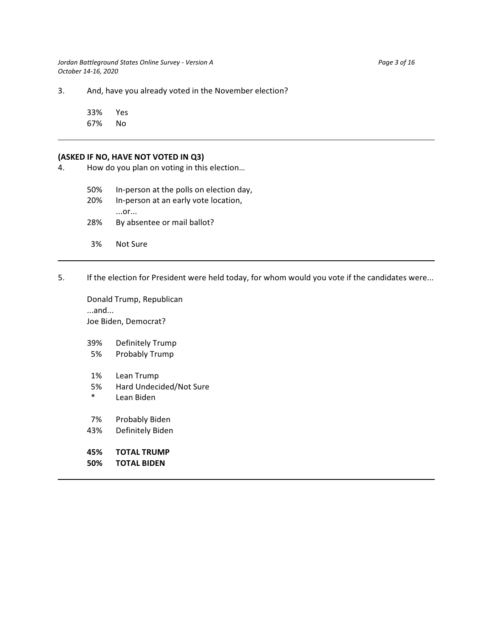*Jordan Battleground States Online Survey - Version A* Page 3 of 16 *October 14-16, 2020*

3. And, have you already voted in the November election?

33% Yes 67% No

#### **(ASKED IF NO, HAVE NOT VOTED IN Q3)**

4. How do you plan on voting in this election…

50% In-person at the polls on election day,

20% In-person at an early vote location, ...or... 28% By absentee or mail ballot?

- 3% Not Sure
- 5. If the election for President were held today, for whom would you vote if the candidates were...

Donald Trump, Republican ...and... Joe Biden, Democrat?

39% Definitely Trump

- 5% Probably Trump
- 1% Lean Trump
- 5% Hard Undecided/Not Sure
- \* Lean Biden
- 7% Probably Biden
- 43% Definitely Biden
- **45% TOTAL TRUMP**
- **50% TOTAL BIDEN**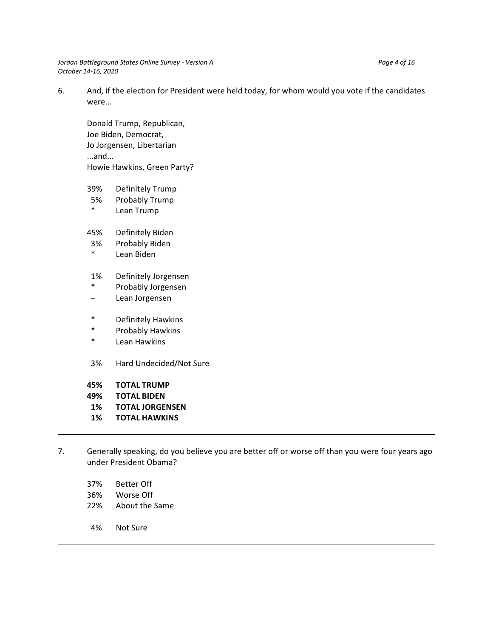*Jordan Battleground States Online Survey - Version A* Page 4 of 16<sup>*Page 4 of 16*<sup>*Page 4 of 16*<sup>*Page 4 of 16*<sup>*Page 4 of 16*<sup>*Page 4 of 16*<sup>*Page 4 of 16*<sup>*Page 4 of 16*</sub>*Page 4 of 16*<sup>*Page 4 of 16*<sup>*Page 4 of 16*</sub>*Pag</sup></sup></sup></sup></sup></sup></sup></sup></sup> October 14-16, 2020*

6. And, if the election for President were held today, for whom would you vote if the candidates were...

Donald Trump, Republican, Joe Biden, Democrat, Jo Jorgensen, Libertarian ...and... Howie Hawkins, Green Party?

- 39% Definitely Trump
- 5% Probably Trump
- \* Lean Trump
- 45% Definitely Biden
- 3% Probably Biden
- \* Lean Biden
- 1% Definitely Jorgensen
- \* Probably Jorgensen
- Lean Jorgensen
- \* Definitely Hawkins
- \* Probably Hawkins
- Lean Hawkins
- 3% Hard Undecided/Not Sure
- **45% TOTAL TRUMP**
- **49% TOTAL BIDEN**
- **1% TOTAL JORGENSEN**
- **1% TOTAL HAWKINS**
- 7. Generally speaking, do you believe you are better off or worse off than you were four years ago under President Obama?
	- 37% Better Off
	- 36% Worse Off
	- 22% About the Same
	- 4% Not Sure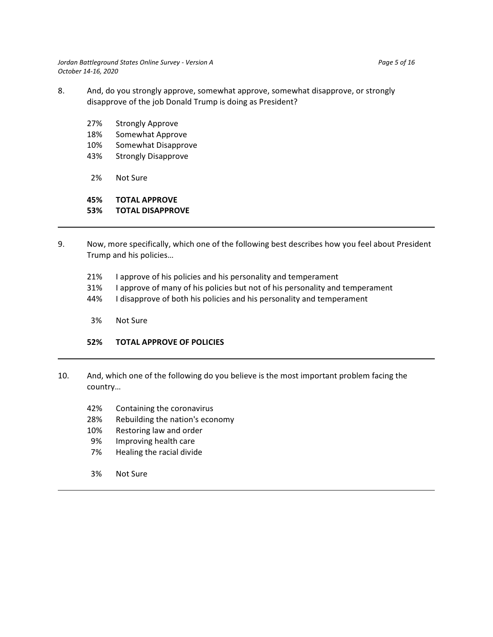*Jordan Battleground States Online Survey - Version A Page 5 of 16 October 14-16, 2020*

- 8. And, do you strongly approve, somewhat approve, somewhat disapprove, or strongly disapprove of the job Donald Trump is doing as President?
	- 27% Strongly Approve
	- 18% Somewhat Approve
	- 10% Somewhat Disapprove
	- 43% Strongly Disapprove
	- 2% Not Sure

## **45% TOTAL APPROVE**

## **53% TOTAL DISAPPROVE**

- 9. Now, more specifically, which one of the following best describes how you feel about President Trump and his policies…
	- 21% I approve of his policies and his personality and temperament
	- 31% I approve of many of his policies but not of his personality and temperament
	- 44% I disapprove of both his policies and his personality and temperament
	- 3% Not Sure

## **52% TOTAL APPROVE OF POLICIES**

- 10. And, which one of the following do you believe is the most important problem facing the country…
	- 42% Containing the coronavirus
	- 28% Rebuilding the nation's economy
	- 10% Restoring law and order
	- 9% Improving health care
	- 7% Healing the racial divide
	- 3% Not Sure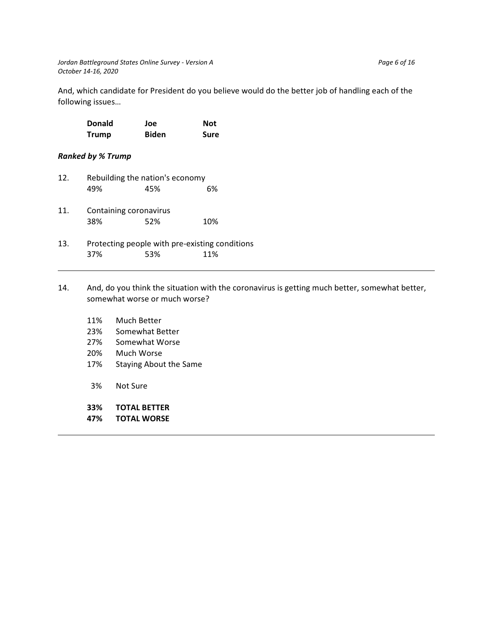And, which candidate for President do you believe would do the better job of handling each of the following issues…

| <b>Donald</b> | Joe          | <b>Not</b>  |
|---------------|--------------|-------------|
| <b>Trump</b>  | <b>Biden</b> | <b>Sure</b> |

## *Ranked by % Trump*

| 12. |                                                       | Rebuilding the nation's economy |     |  |  |  |  |  |
|-----|-------------------------------------------------------|---------------------------------|-----|--|--|--|--|--|
|     | 49%                                                   | 45%                             | 6%  |  |  |  |  |  |
| 11. | Containing coronavirus<br>38%                         | 52%                             | 10% |  |  |  |  |  |
| 13. | Protecting people with pre-existing conditions<br>37% | 53%                             | 11% |  |  |  |  |  |

- 14. And, do you think the situation with the coronavirus is getting much better, somewhat better, somewhat worse or much worse?
	- 11% Much Better
	- 23% Somewhat Better
	- 27% Somewhat Worse
	- 20% Much Worse
	- 17% Staying About the Same
	- 3% Not Sure
	- **33% TOTAL BETTER**
	- **47% TOTAL WORSE**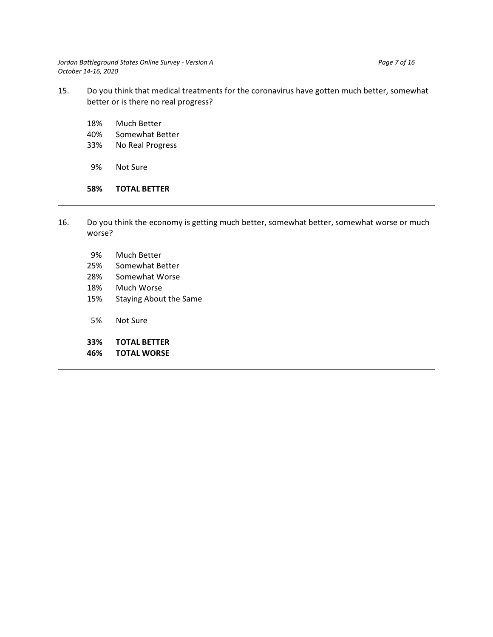*Jordan Battleground States Online Survey - Version A* Page 7 of 16 *October 14-16, 2020*

- 15. Do you think that medical treatments for the coronavirus have gotten much better, somewhat better or is there no real progress?
	- 18% Much Better
	- 40% Somewhat Better
	- 33% No Real Progress
	- 9% Not Sure

#### **58% TOTAL BETTER**

- 16. Do you think the economy is getting much better, somewhat better, somewhat worse or much worse?
	- 9% Much Better
	- 25% Somewhat Better
	- 28% Somewhat Worse
	- 18% Much Worse
	- 15% Staying About the Same
	- 5% Not Sure
	- **33% TOTAL BETTER**
	- **46% TOTAL WORSE**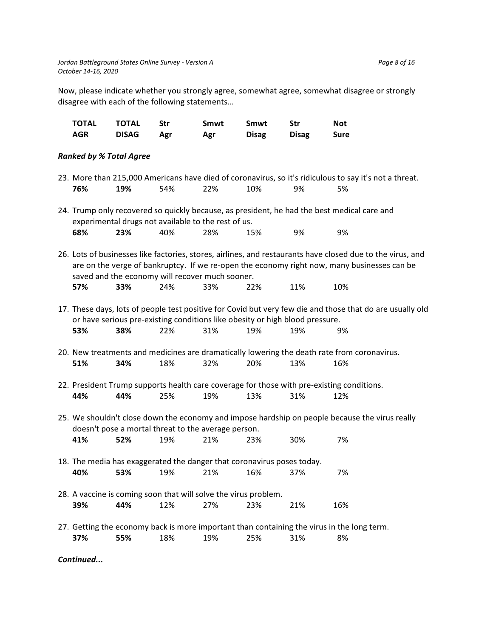Now, please indicate whether you strongly agree, somewhat agree, somewhat disagree or strongly disagree with each of the following statements…

| TOTAL      | TOTAL        | - Str | Smwt | Smwt         | . Str        | Not         |
|------------|--------------|-------|------|--------------|--------------|-------------|
| <b>AGR</b> | <b>DISAG</b> | Agr   | Agr  | <b>Disag</b> | <b>Disag</b> | <b>Sure</b> |

## *Ranked by % Total Agree*

|     |     |                                                                              |     |     |     | 23. More than 215,000 Americans have died of coronavirus, so it's ridiculous to say it's not a threat.     |
|-----|-----|------------------------------------------------------------------------------|-----|-----|-----|------------------------------------------------------------------------------------------------------------|
| 76% | 19% | 54%                                                                          | 22% | 10% | 9%  | 5%                                                                                                         |
|     |     |                                                                              |     |     |     |                                                                                                            |
|     |     |                                                                              |     |     |     | 24. Trump only recovered so quickly because, as president, he had the best medical care and                |
|     |     | experimental drugs not available to the rest of us.                          |     |     |     |                                                                                                            |
| 68% | 23% | 40%                                                                          | 28% | 15% | 9%  | 9%                                                                                                         |
|     |     |                                                                              |     |     |     |                                                                                                            |
|     |     |                                                                              |     |     |     | 26. Lots of businesses like factories, stores, airlines, and restaurants have closed due to the virus, and |
|     |     |                                                                              |     |     |     |                                                                                                            |
|     |     |                                                                              |     |     |     | are on the verge of bankruptcy. If we re-open the economy right now, many businesses can be                |
|     |     | saved and the economy will recover much sooner.                              |     |     |     |                                                                                                            |
| 57% | 33% | 24%                                                                          | 33% | 22% | 11% | 10%                                                                                                        |
|     |     |                                                                              |     |     |     |                                                                                                            |
|     |     |                                                                              |     |     |     | 17. These days, lots of people test positive for Covid but very few die and those that do are usually old  |
|     |     | or have serious pre-existing conditions like obesity or high blood pressure. |     |     |     |                                                                                                            |
| 53% | 38% | 22%                                                                          | 31% | 19% | 19% | 9%                                                                                                         |
|     |     |                                                                              |     |     |     |                                                                                                            |
|     |     |                                                                              |     |     |     | 20. New treatments and medicines are dramatically lowering the death rate from coronavirus.                |
| 51% | 34% | 18%                                                                          | 32% | 20% | 13% | 16%                                                                                                        |
|     |     |                                                                              |     |     |     |                                                                                                            |
|     |     |                                                                              |     |     |     | 22. President Trump supports health care coverage for those with pre-existing conditions.                  |
| 44% | 44% | 25%                                                                          | 19% | 13% | 31% | 12%                                                                                                        |
|     |     |                                                                              |     |     |     |                                                                                                            |
|     |     |                                                                              |     |     |     | 25. We shouldn't close down the economy and impose hardship on people because the virus really             |
|     |     | doesn't pose a mortal threat to the average person.                          |     |     |     |                                                                                                            |
|     |     |                                                                              |     |     |     |                                                                                                            |
| 41% | 52% | 19%                                                                          | 21% | 23% | 30% | 7%                                                                                                         |
|     |     |                                                                              |     |     |     |                                                                                                            |
|     |     | 18. The media has exaggerated the danger that coronavirus poses today.       |     |     |     |                                                                                                            |
| 40% | 53% | 19%                                                                          | 21% | 16% | 37% | 7%                                                                                                         |
|     |     |                                                                              |     |     |     |                                                                                                            |
|     |     | 28. A vaccine is coming soon that will solve the virus problem.              |     |     |     |                                                                                                            |
| 39% | 44% | 12%                                                                          | 27% | 23% | 21% | 16%                                                                                                        |
|     |     |                                                                              |     |     |     |                                                                                                            |
|     |     |                                                                              |     |     |     | 27. Getting the economy back is more important than containing the virus in the long term.                 |
| 37% | 55% | 18%                                                                          | 19% | 25% | 31% | 8%                                                                                                         |
|     |     |                                                                              |     |     |     |                                                                                                            |

*Continued...*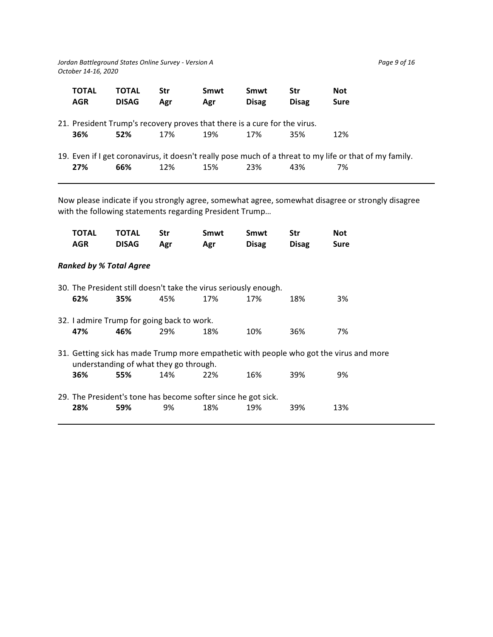*Jordan Battleground States Online Survey - Version A* Page 9 of 16 Page 9 of 16 *October 14-16, 2020*

| <b>TOTAL</b><br><b>AGR</b> | <b>TOTAL</b><br><b>DISAG</b>                                                     | <b>Str</b><br>Agr | Smwt<br>Agr | Smwt<br><b>Disag</b> | <b>Str</b><br><b>Disag</b> | <b>Not</b><br>Sure                                                                                            |
|----------------------------|----------------------------------------------------------------------------------|-------------------|-------------|----------------------|----------------------------|---------------------------------------------------------------------------------------------------------------|
| 36%                        | 21. President Trump's recovery proves that there is a cure for the virus.<br>52% | 17%               | 19%         | 17%                  | 35%                        | 12%                                                                                                           |
| 27%                        | 66%                                                                              | 12%               | 15%         | 23%                  | 43%                        | 19. Even if I get coronavirus, it doesn't really pose much of a threat to my life or that of my family.<br>7% |

Now please indicate if you strongly agree, somewhat agree, somewhat disagree or strongly disagree with the following statements regarding President Trump…

| TOTAL<br><b>AGR</b>                                                                                                              | <b>TOTAL</b><br><b>DISAG</b>                                     | Str<br>Agr | Smwt<br>Agr | Smwt<br><b>Disag</b> | Str<br><b>Disag</b> | Not<br>Sure |  |
|----------------------------------------------------------------------------------------------------------------------------------|------------------------------------------------------------------|------------|-------------|----------------------|---------------------|-------------|--|
| <b>Ranked by % Total Agree</b>                                                                                                   |                                                                  |            |             |                      |                     |             |  |
|                                                                                                                                  | 30. The President still doesn't take the virus seriously enough. |            |             |                      |                     |             |  |
| 62%                                                                                                                              | 35%                                                              | 45%        | 17%         | 17%                  | 18%                 | 3%          |  |
|                                                                                                                                  | 32. I admire Trump for going back to work.                       |            |             |                      |                     |             |  |
| 47%                                                                                                                              | 46%                                                              | 29%        | 18%         | 10%                  | 36%                 | 7%          |  |
| 31. Getting sick has made Trump more empathetic with people who got the virus and more<br>understanding of what they go through. |                                                                  |            |             |                      |                     |             |  |
| 36%                                                                                                                              | 55%                                                              | 14%        | 22%         | 16%                  | 39%                 | 9%          |  |
|                                                                                                                                  | 29. The President's tone has become softer since he got sick.    |            |             |                      |                     |             |  |
| 28%                                                                                                                              | 59%                                                              | 9%         | 18%         | 19%                  | 39%                 | 13%         |  |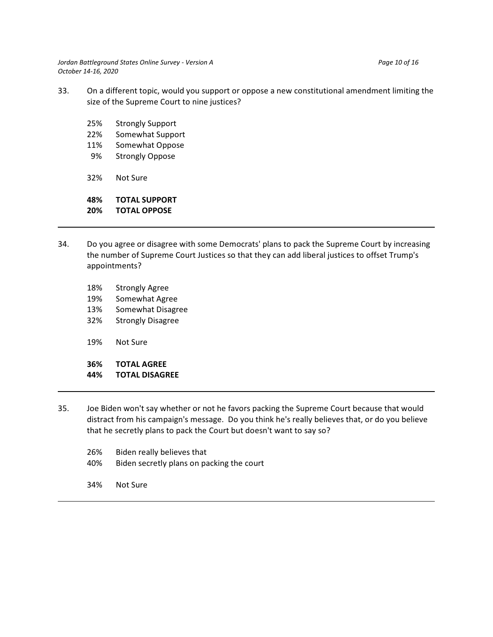*Jordan Battleground States Online Survey - Version A* Page 10 of 16 Page 10 of 16 *October 14-16, 2020*

- 33. On a different topic, would you support or oppose a new constitutional amendment limiting the size of the Supreme Court to nine justices?
	- 25% Strongly Support
	- 22% Somewhat Support
	- 11% Somewhat Oppose
	- 9% Strongly Oppose
	- 32% Not Sure

**48% TOTAL SUPPORT 20% TOTAL OPPOSE**

- 
- 34. Do you agree or disagree with some Democrats' plans to pack the Supreme Court by increasing the number of Supreme Court Justices so that they can add liberal justices to offset Trump's appointments?
	- 18% Strongly Agree
	- 19% Somewhat Agree
	- 13% Somewhat Disagree
	- 32% Strongly Disagree
	- 19% Not Sure

**36% TOTAL AGREE**

- **44% TOTAL DISAGREE**
- 35. Joe Biden won't say whether or not he favors packing the Supreme Court because that would distract from his campaign's message. Do you think he's really believes that, or do you believe that he secretly plans to pack the Court but doesn't want to say so?
	- 26% Biden really believes that
	- 40% Biden secretly plans on packing the court
	- 34% Not Sure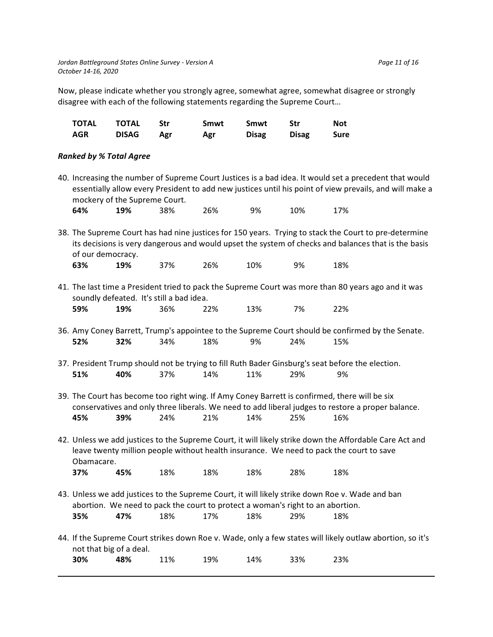Now, please indicate whether you strongly agree, somewhat agree, somewhat disagree or strongly disagree with each of the following statements regarding the Supreme Court…

| TOTAL | TOTAL        | - Str | Smwt | Smwt         | Str          | Not         |
|-------|--------------|-------|------|--------------|--------------|-------------|
| AGR   | <b>DISAG</b> | Agr   | Agr  | <b>Disag</b> | <b>Disag</b> | <b>Sure</b> |

### *Ranked by % Total Agree*

40. Increasing the number of Supreme Court Justices is a bad idea. It would set a precedent that would essentially allow every President to add new justices until his point of view prevails, and will make a mockery of the Supreme Court.

| 64% | 19% | 38% | 26% | 9% | 10% | 17% |
|-----|-----|-----|-----|----|-----|-----|
|-----|-----|-----|-----|----|-----|-----|

- 38. The Supreme Court has had nine justices for 150 years. Trying to stack the Court to pre-determine its decisions is very dangerous and would upset the system of checks and balances that is the basis of our democracy. **63% 19%** 37% 26% 10% 9% 18%
- 41. The last time a President tried to pack the Supreme Court was more than 80 years ago and it was soundly defeated. It's still a bad idea. **59% 19%** 36% 22% 13% 7% 22%
- 36. Amy Coney Barrett, Trump's appointee to the Supreme Court should be confirmed by the Senate. **52% 32%** 34% 18% 9% 24% 15%
- 37. President Trump should not be trying to fill Ruth Bader Ginsburg's seat before the election. **51% 40%** 37% 14% 11% 29% 9%
- 39. The Court has become too right wing. If Amy Coney Barrett is confirmed, there will be six conservatives and only three liberals. We need to add liberal judges to restore a proper balance. **45% 39%** 24% 21% 14% 25% 16%
- 42. Unless we add justices to the Supreme Court, it will likely strike down the Affordable Care Act and leave twenty million people without health insurance. We need to pack the court to save Obamacare.

| 37%<br>45% | 18% | 18% | 18% | 28% | 18% |
|------------|-----|-----|-----|-----|-----|
|------------|-----|-----|-----|-----|-----|

- 43. Unless we add justices to the Supreme Court, it will likely strike down Roe v. Wade and ban abortion. We need to pack the court to protect a woman's right to an abortion. **35% 47%** 18% 17% 18% 29% 18%
- 44. If the Supreme Court strikes down Roe v. Wade, only a few states will likely outlaw abortion, so it's not that big of a deal. **30% 48%** 11% 19% 14% 33% 23%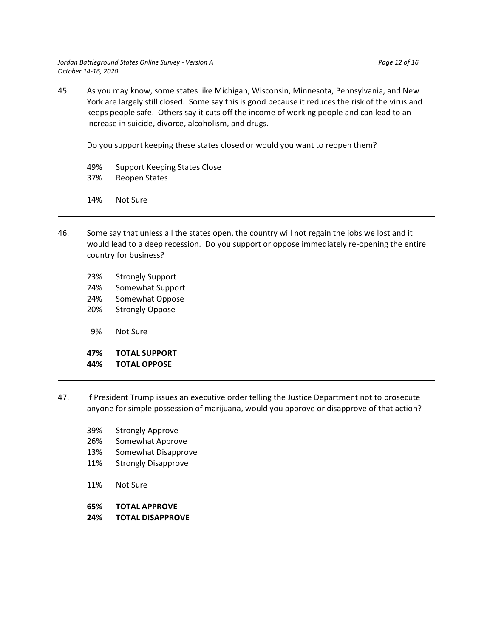Do you support keeping these states closed or would you want to reopen them?

- 49% Support Keeping States Close
- 37% Reopen States
- 14% Not Sure
- 46. Some say that unless all the states open, the country will not regain the jobs we lost and it would lead to a deep recession. Do you support or oppose immediately re-opening the entire country for business?
	- 23% Strongly Support
	- 24% Somewhat Support
	- 24% Somewhat Oppose
	- 20% Strongly Oppose
	- 9% Not Sure

## **47% TOTAL SUPPORT**

## **44% TOTAL OPPOSE**

- 47. If President Trump issues an executive order telling the Justice Department not to prosecute anyone for simple possession of marijuana, would you approve or disapprove of that action?
	- 39% Strongly Approve
	- 26% Somewhat Approve
	- 13% Somewhat Disapprove
	- 11% Strongly Disapprove
	- 11% Not Sure
	- **65% TOTAL APPROVE**
	- **24% TOTAL DISAPPROVE**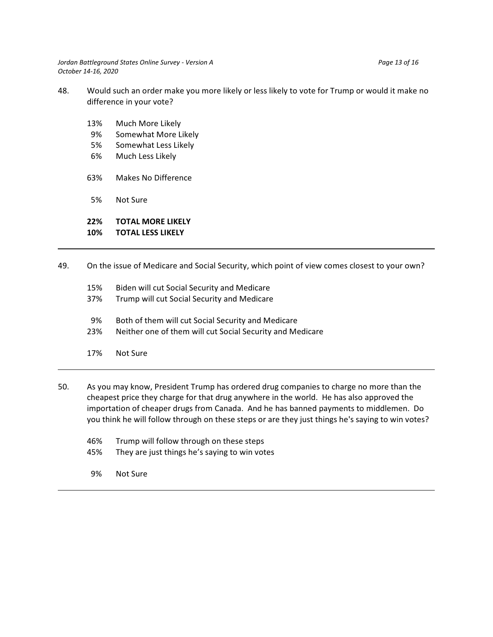*Jordan Battleground States Online Survey - Version A* Page 13 of 16 Page 13 of 16 *October 14-16, 2020*

- 48. Would such an order make you more likely or less likely to vote for Trump or would it make no difference in your vote?
	- 13% Much More Likely
	- 9% Somewhat More Likely
	- 5% Somewhat Less Likely
	- 6% Much Less Likely
	- 63% Makes No Difference
	- 5% Not Sure

## **22% TOTAL MORE LIKELY**

## **10% TOTAL LESS LIKELY**

- 49. On the issue of Medicare and Social Security, which point of view comes closest to your own?
	- 15% Biden will cut Social Security and Medicare 37% Trump will cut Social Security and Medicare 9% Both of them will cut Social Security and Medicare 23% Neither one of them will cut Social Security and Medicare 17% Not Sure
- 50. As you may know, President Trump has ordered drug companies to charge no more than the cheapest price they charge for that drug anywhere in the world. He has also approved the importation of cheaper drugs from Canada. And he has banned payments to middlemen. Do you think he will follow through on these steps or are they just things he's saying to win votes?
	- 46% Trump will follow through on these steps
	- 45% They are just things he's saying to win votes
	- 9% Not Sure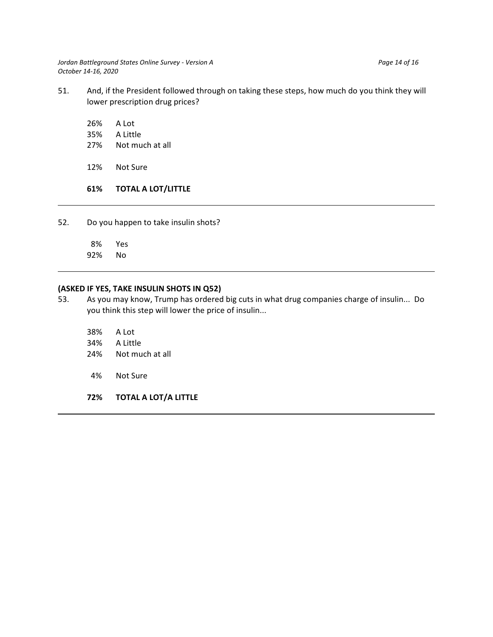*Jordan Battleground States Online Survey - Version A* Page 14 of 16<sup>*Page 14 of 16*<sup>*Page 14 of 16*<sup>*Page 14 of 16*<sup>*Page 14 of 16*<sup>*Page 14 of 16*<sup>*Page 14 of 16*<sup>*Page 14*</sub> *of 16*<sup>*Page 14 of 16*<sup>*Page 14*</sub> *of 16*<sup>*</sup></sup></sup></sup></sup></sup></sup></sup></sup></sup> October 14-16, 2020*

- 51. And, if the President followed through on taking these steps, how much do you think they will lower prescription drug prices?
	- 26% A Lot
	- 35% A Little
	- 27% Not much at all
	- 12% Not Sure

## **61% TOTAL A LOT/LITTLE**

52. Do you happen to take insulin shots?

 8% Yes 92% No

## **(ASKED IF YES, TAKE INSULIN SHOTS IN Q52)**

- 53. As you may know, Trump has ordered big cuts in what drug companies charge of insulin... Do you think this step will lower the price of insulin...
	- 38% A Lot
	- 34% A Little
	- 24% Not much at all
	- 4% Not Sure
	- **72% TOTAL A LOT/A LITTLE**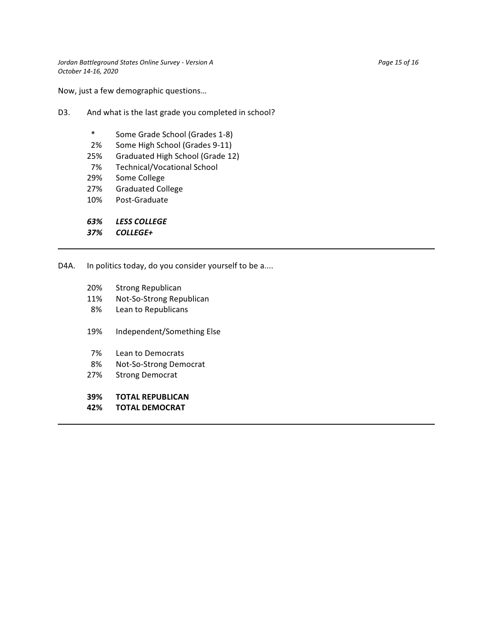Now, just a few demographic questions…

- D3. And what is the last grade you completed in school?
	- \* Some Grade School (Grades 1-8)
	- 2% Some High School (Grades 9-11)
	- 25% Graduated High School (Grade 12)
	- 7% Technical/Vocational School
	- 29% Some College
	- 27% Graduated College
	- 10% Post-Graduate

*63% LESS COLLEGE*

*37% COLLEGE+*

D4A. In politics today, do you consider yourself to be a....

- 20% Strong Republican
- 11% Not-So-Strong Republican
- 8% Lean to Republicans
- 19% Independent/Something Else
- 7% Lean to Democrats
- 8% Not-So-Strong Democrat
- 27% Strong Democrat

### **39% TOTAL REPUBLICAN**

**42% TOTAL DEMOCRAT**